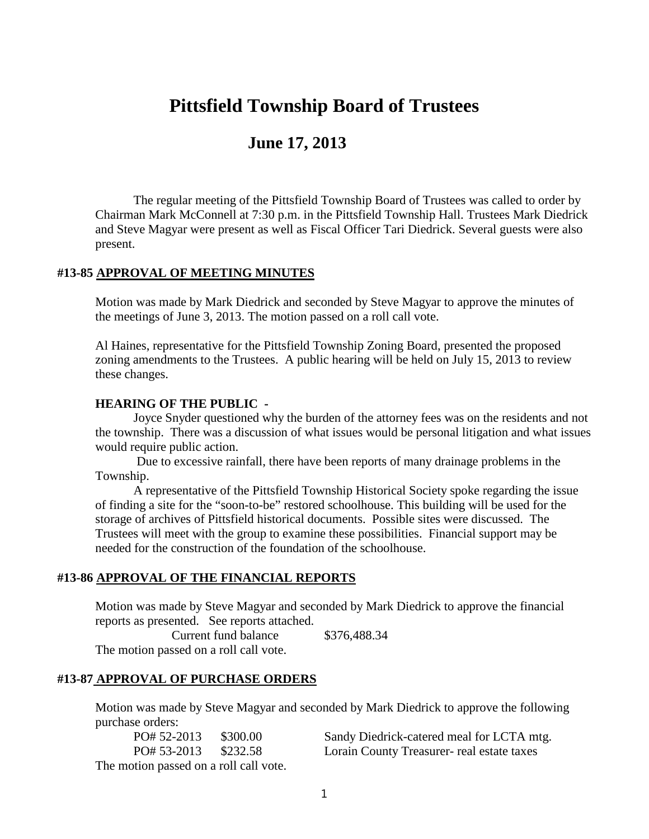# **Pittsfield Township Board of Trustees**

## **June 17, 2013**

The regular meeting of the Pittsfield Township Board of Trustees was called to order by Chairman Mark McConnell at 7:30 p.m. in the Pittsfield Township Hall. Trustees Mark Diedrick and Steve Magyar were present as well as Fiscal Officer Tari Diedrick. Several guests were also present.

#### **#13-85 APPROVAL OF MEETING MINUTES**

Motion was made by Mark Diedrick and seconded by Steve Magyar to approve the minutes of the meetings of June 3, 2013. The motion passed on a roll call vote.

Al Haines, representative for the Pittsfield Township Zoning Board, presented the proposed zoning amendments to the Trustees. A public hearing will be held on July 15, 2013 to review these changes.

#### **HEARING OF THE PUBLIC -**

Joyce Snyder questioned why the burden of the attorney fees was on the residents and not the township. There was a discussion of what issues would be personal litigation and what issues would require public action.

Due to excessive rainfall, there have been reports of many drainage problems in the Township.

A representative of the Pittsfield Township Historical Society spoke regarding the issue of finding a site for the "soon-to-be" restored schoolhouse. This building will be used for the storage of archives of Pittsfield historical documents. Possible sites were discussed. The Trustees will meet with the group to examine these possibilities. Financial support may be needed for the construction of the foundation of the schoolhouse.

#### **#13-86 APPROVAL OF THE FINANCIAL REPORTS**

Motion was made by Steve Magyar and seconded by Mark Diedrick to approve the financial reports as presented. See reports attached.

Current fund balance \$376,488.34 The motion passed on a roll call vote.

#### **#13-87 APPROVAL OF PURCHASE ORDERS**

Motion was made by Steve Magyar and seconded by Mark Diedrick to approve the following purchase orders:

| PO# 52-2013                            | \$300.00 |
|----------------------------------------|----------|
| PO# 53-2013                            | \$232.58 |
| The motion passed on a roll call vote. |          |

Sandy Diedrick-catered meal for LCTA mtg. Lorain County Treasurer- real estate taxes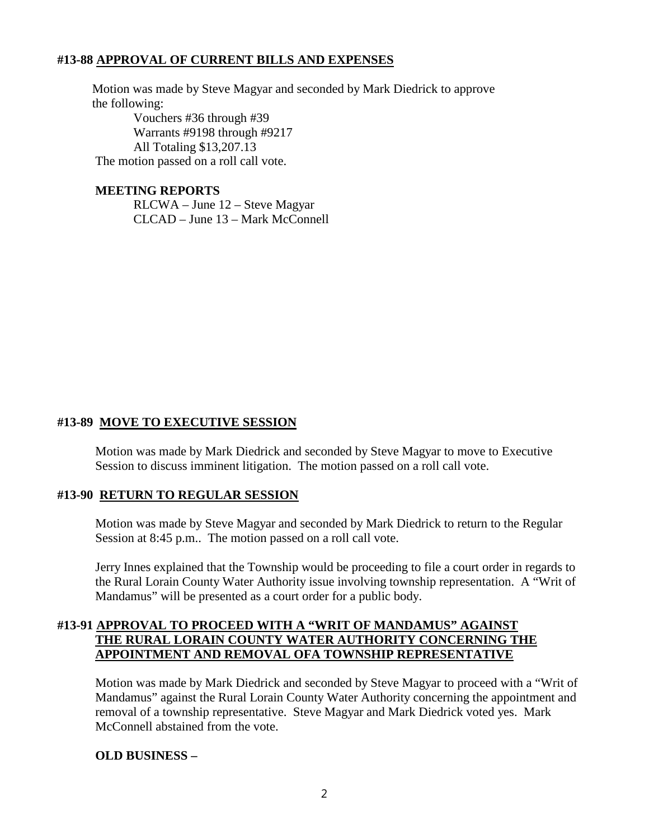## **#13-88 APPROVAL OF CURRENT BILLS AND EXPENSES**

Motion was made by Steve Magyar and seconded by Mark Diedrick to approve the following:

Vouchers #36 through #39 Warrants #9198 through #9217 All Totaling \$13,207.13 The motion passed on a roll call vote.

#### **MEETING REPORTS**

RLCWA – June 12 – Steve Magyar CLCAD – June 13 – Mark McConnell

## **#13-89 MOVE TO EXECUTIVE SESSION**

Motion was made by Mark Diedrick and seconded by Steve Magyar to move to Executive Session to discuss imminent litigation. The motion passed on a roll call vote.

#### **#13-90 RETURN TO REGULAR SESSION**

Motion was made by Steve Magyar and seconded by Mark Diedrick to return to the Regular Session at 8:45 p.m.. The motion passed on a roll call vote.

Jerry Innes explained that the Township would be proceeding to file a court order in regards to the Rural Lorain County Water Authority issue involving township representation. A "Writ of Mandamus" will be presented as a court order for a public body.

## **#13-91 APPROVAL TO PROCEED WITH A "WRIT OF MANDAMUS" AGAINST THE RURAL LORAIN COUNTY WATER AUTHORITY CONCERNING THE APPOINTMENT AND REMOVAL OFA TOWNSHIP REPRESENTATIVE**

Motion was made by Mark Diedrick and seconded by Steve Magyar to proceed with a "Writ of Mandamus" against the Rural Lorain County Water Authority concerning the appointment and removal of a township representative. Steve Magyar and Mark Diedrick voted yes. Mark McConnell abstained from the vote.

#### **OLD BUSINESS –**